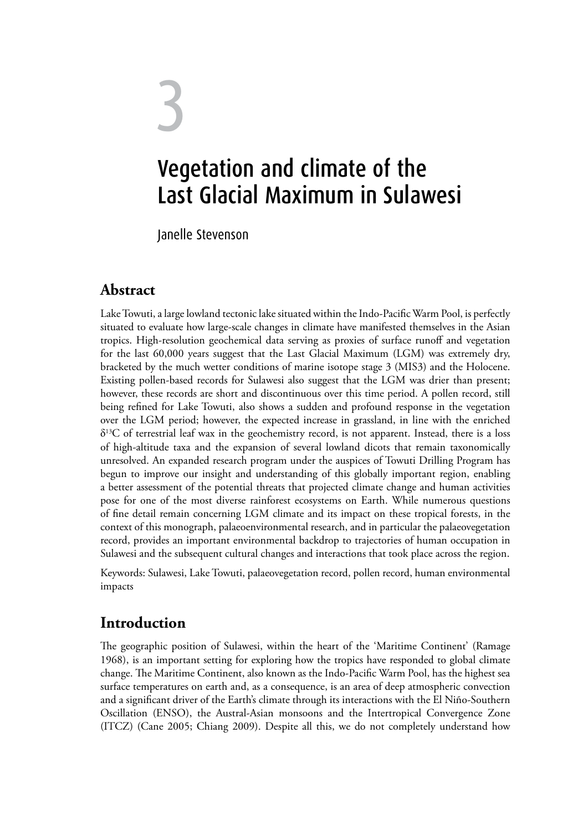# 3 Vegetation and climate of the Last Glacial Maximum in Sulawesi

Janelle Stevenson

### **Abstract**

Lake Towuti, a large lowland tectonic lake situated within the Indo-Pacific Warm Pool, is perfectly situated to evaluate how large-scale changes in climate have manifested themselves in the Asian tropics. High-resolution geochemical data serving as proxies of surface runoff and vegetation for the last 60,000 years suggest that the Last Glacial Maximum (LGM) was extremely dry, bracketed by the much wetter conditions of marine isotope stage 3 (MIS3) and the Holocene. Existing pollen-based records for Sulawesi also suggest that the LGM was drier than present; however, these records are short and discontinuous over this time period. A pollen record, still being refined for Lake Towuti, also shows a sudden and profound response in the vegetation over the LGM period; however, the expected increase in grassland, in line with the enriched  $\delta^{13}$ C of terrestrial leaf wax in the geochemistry record, is not apparent. Instead, there is a loss of high-altitude taxa and the expansion of several lowland dicots that remain taxonomically unresolved. An expanded research program under the auspices of Towuti Drilling Program has begun to improve our insight and understanding of this globally important region, enabling a better assessment of the potential threats that projected climate change and human activities pose for one of the most diverse rainforest ecosystems on Earth. While numerous questions of fine detail remain concerning LGM climate and its impact on these tropical forests, in the context of this monograph, palaeoenvironmental research, and in particular the palaeovegetation record, provides an important environmental backdrop to trajectories of human occupation in Sulawesi and the subsequent cultural changes and interactions that took place across the region.

Keywords: Sulawesi, Lake Towuti, palaeovegetation record, pollen record, human environmental impacts

### **Introduction**

The geographic position of Sulawesi, within the heart of the 'Maritime Continent' (Ramage 1968), is an important setting for exploring how the tropics have responded to global climate change. The Maritime Continent, also known as the Indo-Pacific Warm Pool, has the highest sea surface temperatures on earth and, as a consequence, is an area of deep atmospheric convection and a significant driver of the Earth's climate through its interactions with the El Niño-Southern Oscillation (ENSO), the Austral-Asian monsoons and the Intertropical Convergence Zone (ITCZ) (Cane 2005; Chiang 2009). Despite all this, we do not completely understand how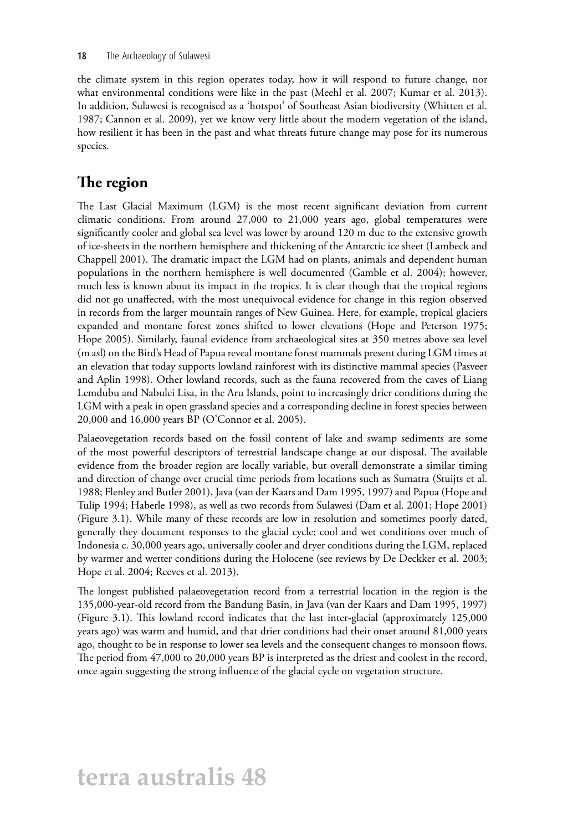the climate system in this region operates today, how it will respond to future change, nor what environmental conditions were like in the past (Meehl et al. 2007; Kumar et al. 2013). In addition, Sulawesi is recognised as a 'hotspot' of Southeast Asian biodiversity (Whitten et al. 1987; Cannon et al. 2009), yet we know very little about the modern vegetation of the island, how resilient it has been in the past and what threats future change may pose for its numerous species.

### **The region**

The Last Glacial Maximum (LGM) is the most recent significant deviation from current climatic conditions. From around 27,000 to 21,000 years ago, global temperatures were significantly cooler and global sea level was lower by around 120 m due to the extensive growth of ice-sheets in the northern hemisphere and thickening of the Antarctic ice sheet (Lambeck and Chappell 2001). The dramatic impact the LGM had on plants, animals and dependent human populations in the northern hemisphere is well documented (Gamble et al. 2004); however, much less is known about its impact in the tropics. It is clear though that the tropical regions did not go unaffected, with the most unequivocal evidence for change in this region observed in records from the larger mountain ranges of New Guinea. Here, for example, tropical glaciers expanded and montane forest zones shifted to lower elevations (Hope and Peterson 1975; Hope 2005). Similarly, faunal evidence from archaeological sites at 350 metres above sea level (m asl) on the Bird's Head of Papua reveal montane forest mammals present during LGM times at an elevation that today supports lowland rainforest with its distinctive mammal species (Pasveer and Aplin 1998). Other lowland records, such as the fauna recovered from the caves of Liang Lemdubu and Nabulei Lisa, in the Aru Islands, point to increasingly drier conditions during the LGM with a peak in open grassland species and a corresponding decline in forest species between 20,000 and 16,000 years BP (O'Connor et al. 2005).

Palaeovegetation records based on the fossil content of lake and swamp sediments are some of the most powerful descriptors of terrestrial landscape change at our disposal. The available evidence from the broader region are locally variable, but overall demonstrate a similar timing and direction of change over crucial time periods from locations such as Sumatra (Stuijts et al. 1988; Flenley and Butler 2001), Java (van der Kaars and Dam 1995, 1997) and Papua (Hope and Tulip 1994; Haberle 1998), as well as two records from Sulawesi (Dam et al. 2001; Hope 2001) (Figure 3.1). While many of these records are low in resolution and sometimes poorly dated, generally they document responses to the glacial cycle; cool and wet conditions over much of Indonesia c. 30,000 years ago, universally cooler and dryer conditions during the LGM, replaced by warmer and wetter conditions during the Holocene (see reviews by De Deckker et al. 2003; Hope et al. 2004; Reeves et al. 2013).

The longest published palaeovegetation record from a terrestrial location in the region is the 135,000-year-old record from the Bandung Basin, in Java (van der Kaars and Dam 1995, 1997) (Figure 3.1). This lowland record indicates that the last inter-glacial (approximately 125,000 years ago) was warm and humid, and that drier conditions had their onset around 81,000 years ago, thought to be in response to lower sea levels and the consequent changes to monsoon flows. The period from 47,000 to 20,000 years BP is interpreted as the driest and coolest in the record, once again suggesting the strong influence of the glacial cycle on vegetation structure.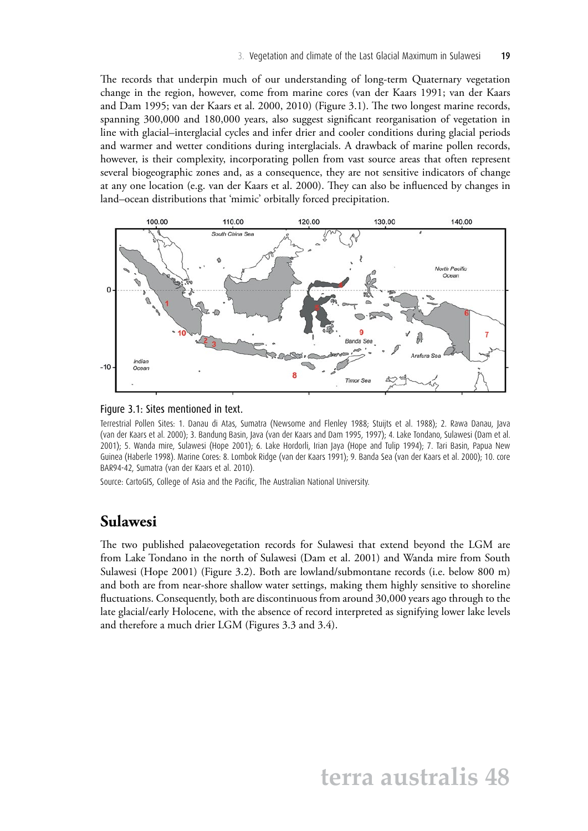The records that underpin much of our understanding of long-term Quaternary vegetation change in the region, however, come from marine cores (van der Kaars 1991; van der Kaars and Dam 1995; van der Kaars et al. 2000, 2010) (Figure 3.1). The two longest marine records, spanning 300,000 and 180,000 years, also suggest significant reorganisation of vegetation in line with glacial–interglacial cycles and infer drier and cooler conditions during glacial periods and warmer and wetter conditions during interglacials. A drawback of marine pollen records, however, is their complexity, incorporating pollen from vast source areas that often represent several biogeographic zones and, as a consequence, they are not sensitive indicators of change at any one location (e.g. van der Kaars et al. 2000). They can also be influenced by changes in land–ocean distributions that 'mimic' orbitally forced precipitation.



#### Figure 3.1: Sites mentioned in text.

Terrestrial Pollen Sites: 1. Danau di Atas, Sumatra (Newsome and Flenley 1988; Stuijts et al. 1988); 2. Rawa Danau, Java (van der Kaars et al. 2000); 3. Bandung Basin, Java (van der Kaars and Dam 1995, 1997); 4. Lake Tondano, Sulawesi (Dam et al. 2001); 5. Wanda mire, Sulawesi (Hope 2001); 6. Lake Hordorli, Irian Jaya (Hope and Tulip 1994); 7. Tari Basin, Papua New Guinea (Haberle 1998). Marine Cores: 8. Lombok Ridge (van der Kaars 1991); 9. Banda Sea (van der Kaars et al. 2000); 10. core BAR94-42, Sumatra (van der Kaars et al. 2010).

Source: CartoGIS, College of Asia and the Pacific, The Australian National University.

#### **Sulawesi**

The two published palaeovegetation records for Sulawesi that extend beyond the LGM are from Lake Tondano in the north of Sulawesi (Dam et al. 2001) and Wanda mire from South Sulawesi (Hope 2001) (Figure 3.2). Both are lowland/submontane records (i.e. below 800 m) and both are from near-shore shallow water settings, making them highly sensitive to shoreline fluctuations. Consequently, both are discontinuous from around 30,000 years ago through to the late glacial/early Holocene, with the absence of record interpreted as signifying lower lake levels and therefore a much drier LGM (Figures 3.3 and 3.4).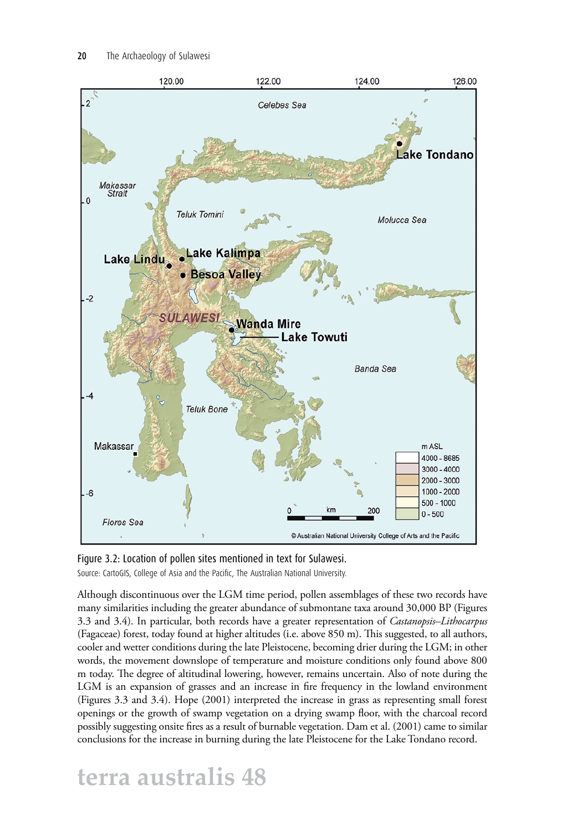

Figure 3.2: Location of pollen sites mentioned in text for Sulawesi. Source: CartoGIS, College of Asia and the Pacific, The Australian National University.

Although discontinuous over the LGM time period, pollen assemblages of these two records have many similarities including the greater abundance of submontane taxa around 30,000 BP (Figures 3.3 and 3.4). In particular, both records have a greater representation of *Castanopsis–Lithocarpus* (Fagaceae) forest, today found at higher altitudes (i.e. above 850 m). This suggested, to all authors, cooler and wetter conditions during the late Pleistocene, becoming drier during the LGM; in other words, the movement downslope of temperature and moisture conditions only found above 800 m today. The degree of altitudinal lowering, however, remains uncertain. Also of note during the LGM is an expansion of grasses and an increase in fire frequency in the lowland environment (Figures 3.3 and 3.4). Hope (2001) interpreted the increase in grass as representing small forest openings or the growth of swamp vegetation on a drying swamp floor, with the charcoal record possibly suggesting onsite fires as a result of burnable vegetation. Dam et al. (2001) came to similar conclusions for the increase in burning during the late Pleistocene for the Lake Tondano record.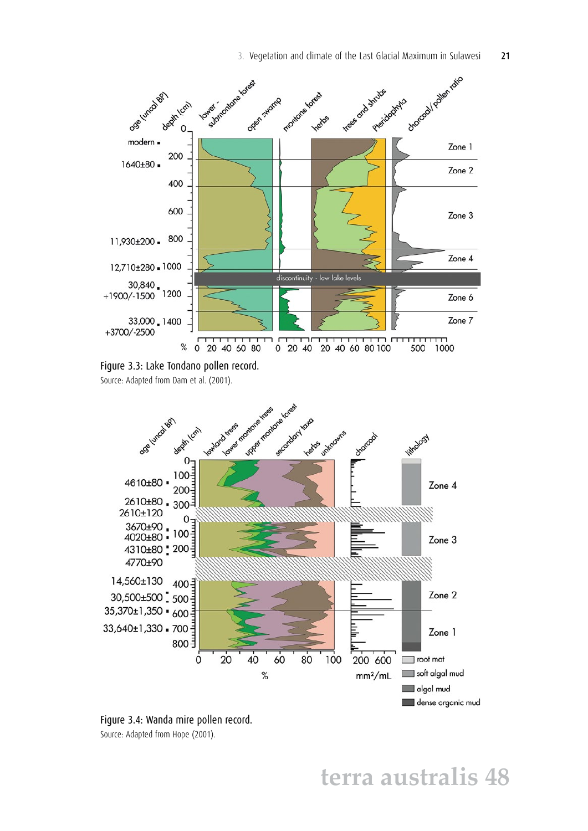



Source: Adapted from Dam et al. (2001).



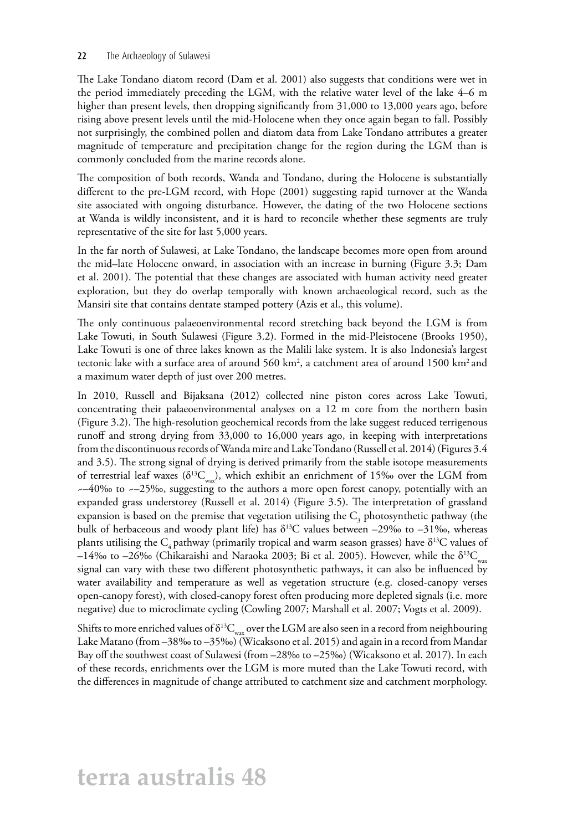#### 22 The Archaeology of Sulawesi

The Lake Tondano diatom record (Dam et al. 2001) also suggests that conditions were wet in the period immediately preceding the LGM, with the relative water level of the lake 4–6 m higher than present levels, then dropping significantly from 31,000 to 13,000 years ago, before rising above present levels until the mid-Holocene when they once again began to fall. Possibly not surprisingly, the combined pollen and diatom data from Lake Tondano attributes a greater magnitude of temperature and precipitation change for the region during the LGM than is commonly concluded from the marine records alone.

The composition of both records, Wanda and Tondano, during the Holocene is substantially different to the pre-LGM record, with Hope (2001) suggesting rapid turnover at the Wanda site associated with ongoing disturbance. However, the dating of the two Holocene sections at Wanda is wildly inconsistent, and it is hard to reconcile whether these segments are truly representative of the site for last 5,000 years.

In the far north of Sulawesi, at Lake Tondano, the landscape becomes more open from around the mid–late Holocene onward, in association with an increase in burning (Figure 3.3; Dam et al. 2001). The potential that these changes are associated with human activity need greater exploration, but they do overlap temporally with known archaeological record, such as the Mansiri site that contains dentate stamped pottery (Azis et al., this volume).

The only continuous palaeoenvironmental record stretching back beyond the LGM is from Lake Towuti, in South Sulawesi (Figure 3.2). Formed in the mid-Pleistocene (Brooks 1950), Lake Towuti is one of three lakes known as the Malili lake system. It is also Indonesia's largest tectonic lake with a surface area of around 560 km<sup>2</sup>, a catchment area of around 1500 km<sup>2</sup> and a maximum water depth of just over 200 metres.

In 2010, Russell and Bijaksana (2012) collected nine piston cores across Lake Towuti, concentrating their palaeoenvironmental analyses on a 12 m core from the northern basin (Figure 3.2). The high-resolution geochemical records from the lake suggest reduced terrigenous runoff and strong drying from 33,000 to 16,000 years ago, in keeping with interpretations from the discontinuous records of Wanda mire and Lake Tondano (Russell et al. 2014) (Figures 3.4 and 3.5). The strong signal of drying is derived primarily from the stable isotope measurements of terrestrial leaf waxes ( $\delta^{13}C_{\text{wav}}$ ), which exhibit an enrichment of 15‰ over the LGM from  $\sim$ –40‰ to  $\sim$ –25‰, suggesting to the authors a more open forest canopy, potentially with an expanded grass understorey (Russell et al. 2014) (Figure 3.5). The interpretation of grassland expansion is based on the premise that vegetation utilising the  $C_3$  photosynthetic pathway (the bulk of herbaceous and woody plant life) has  $\delta^{13}$ C values between –29‰ to –31‰, whereas plants utilising the  $C_4$  pathway (primarily tropical and warm season grasses) have  $\delta^{13}C$  values of –14‰ to –26‰ (Chikaraishi and Naraoka 2003; Bi et al. 2005). However, while the  $\delta^{13}C_{\text{max}}$ signal can vary with these two different photosynthetic pathways, it can also be influenced by water availability and temperature as well as vegetation structure (e.g. closed-canopy verses open-canopy forest), with closed-canopy forest often producing more depleted signals (i.e. more negative) due to microclimate cycling (Cowling 2007; Marshall et al. 2007; Vogts et al. 2009).

Shifts to more enriched values of  $\delta^{13}C_{\text{max}}$  over the LGM are also seen in a record from neighbouring Lake Matano (from –38‰ to –35‰) (Wicaksono et al. 2015) and again in a record from Mandar Bay off the southwest coast of Sulawesi (from –28‰ to –25‰) (Wicaksono et al. 2017). In each of these records, enrichments over the LGM is more muted than the Lake Towuti record, with the differences in magnitude of change attributed to catchment size and catchment morphology.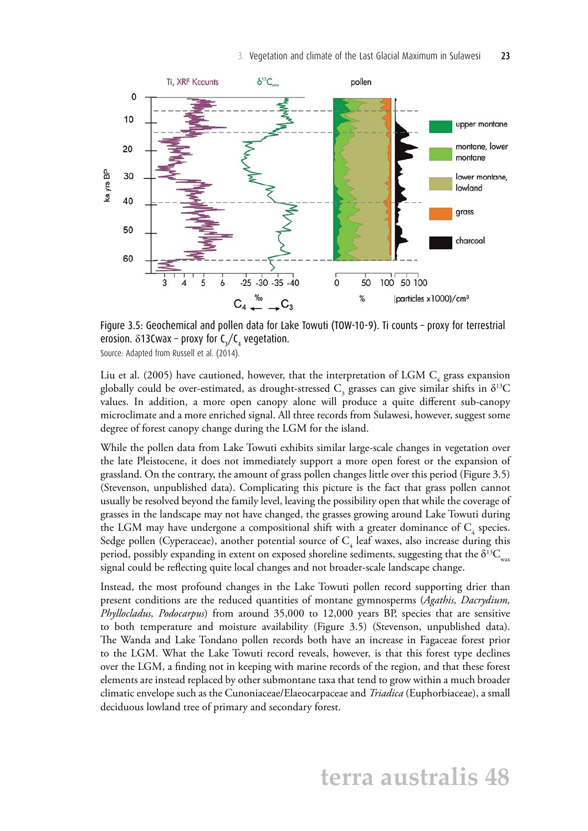

Figure 3.5: Geochemical and pollen data for Lake Towuti (TOW-10-9). Ti counts – proxy for terrestrial erosion.  $\delta$ 13Cwax – proxy for C<sub>3</sub>/C<sub>4</sub> vegetation.

Source: Adapted from Russell et al. (2014).

Liu et al. (2005) have cautioned, however, that the interpretation of LGM  $\text{C}_4$  grass expansion globally could be over-estimated, as drought-stressed  $C_3$  grasses can give similar shifts in  $\delta^{13}C$ values. In addition, a more open canopy alone will produce a quite different sub-canopy microclimate and a more enriched signal. All three records from Sulawesi, however, suggest some degree of forest canopy change during the LGM for the island.

While the pollen data from Lake Towuti exhibits similar large-scale changes in vegetation over the late Pleistocene, it does not immediately support a more open forest or the expansion of grassland. On the contrary, the amount of grass pollen changes little over this period (Figure 3.5) (Stevenson, unpublished data). Complicating this picture is the fact that grass pollen cannot usually be resolved beyond the family level, leaving the possibility open that while the coverage of grasses in the landscape may not have changed, the grasses growing around Lake Towuti during the LGM may have undergone a compositional shift with a greater dominance of  $\mathrm C^{}_4$  species. Sedge pollen (Cyperaceae), another potential source of  $C_4$  leaf waxes, also increase during this period, possibly expanding in extent on exposed shoreline sediments, suggesting that the  $\delta^{13}C_{\text{max}}$ signal could be reflecting quite local changes and not broader-scale landscape change.

Instead, the most profound changes in the Lake Towuti pollen record supporting drier than present conditions are the reduced quantities of montane gymnosperms (*Agathis, Dacrydium, Phyllocladus, Podocarpus*) from around 35,000 to 12,000 years BP, species that are sensitive to both temperature and moisture availability (Figure 3.5) (Stevenson, unpublished data). The Wanda and Lake Tondano pollen records both have an increase in Fagaceae forest prior to the LGM. What the Lake Towuti record reveals, however, is that this forest type declines over the LGM, a finding not in keeping with marine records of the region, and that these forest elements are instead replaced by other submontane taxa that tend to grow within a much broader climatic envelope such as the Cunoniaceae/Elaeocarpaceae and *Triadica* (Euphorbiaceae), a small deciduous lowland tree of primary and secondary forest.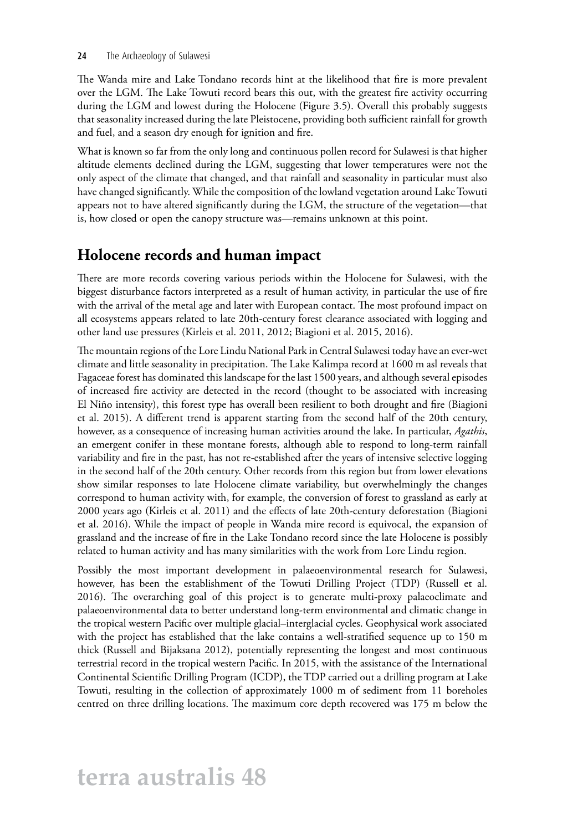#### 24 The Archaeology of Sulawesi

The Wanda mire and Lake Tondano records hint at the likelihood that fire is more prevalent over the LGM. The Lake Towuti record bears this out, with the greatest fire activity occurring during the LGM and lowest during the Holocene (Figure 3.5). Overall this probably suggests that seasonality increased during the late Pleistocene, providing both sufficient rainfall for growth and fuel, and a season dry enough for ignition and fire.

What is known so far from the only long and continuous pollen record for Sulawesi is that higher altitude elements declined during the LGM, suggesting that lower temperatures were not the only aspect of the climate that changed, and that rainfall and seasonality in particular must also have changed significantly. While the composition of the lowland vegetation around Lake Towuti appears not to have altered significantly during the LGM, the structure of the vegetation—that is, how closed or open the canopy structure was—remains unknown at this point.

### **Holocene records and human impact**

There are more records covering various periods within the Holocene for Sulawesi, with the biggest disturbance factors interpreted as a result of human activity, in particular the use of fire with the arrival of the metal age and later with European contact. The most profound impact on all ecosystems appears related to late 20th-century forest clearance associated with logging and other land use pressures (Kirleis et al. 2011, 2012; Biagioni et al. 2015, 2016).

The mountain regions of the Lore Lindu National Park in Central Sulawesi today have an ever-wet climate and little seasonality in precipitation. The Lake Kalimpa record at 1600 m asl reveals that Fagaceae forest has dominated this landscape for the last 1500 years, and although several episodes of increased fire activity are detected in the record (thought to be associated with increasing El Niño intensity), this forest type has overall been resilient to both drought and fire (Biagioni et al. 2015). A different trend is apparent starting from the second half of the 20th century, however, as a consequence of increasing human activities around the lake. In particular, *Agathis*, an emergent conifer in these montane forests, although able to respond to long-term rainfall variability and fire in the past, has not re-established after the years of intensive selective logging in the second half of the 20th century. Other records from this region but from lower elevations show similar responses to late Holocene climate variability, but overwhelmingly the changes correspond to human activity with, for example, the conversion of forest to grassland as early at 2000 years ago (Kirleis et al. 2011) and the effects of late 20th-century deforestation (Biagioni et al. 2016). While the impact of people in Wanda mire record is equivocal, the expansion of grassland and the increase of fire in the Lake Tondano record since the late Holocene is possibly related to human activity and has many similarities with the work from Lore Lindu region.

Possibly the most important development in palaeoenvironmental research for Sulawesi, however, has been the establishment of the Towuti Drilling Project (TDP) (Russell et al. 2016). The overarching goal of this project is to generate multi-proxy palaeoclimate and palaeoenvironmental data to better understand long-term environmental and climatic change in the tropical western Pacific over multiple glacial–interglacial cycles. Geophysical work associated with the project has established that the lake contains a well-stratified sequence up to 150 m thick (Russell and Bijaksana 2012), potentially representing the longest and most continuous terrestrial record in the tropical western Pacific. In 2015, with the assistance of the International Continental Scientific Drilling Program (ICDP), the TDP carried out a drilling program at Lake Towuti, resulting in the collection of approximately 1000 m of sediment from 11 boreholes centred on three drilling locations. The maximum core depth recovered was 175 m below the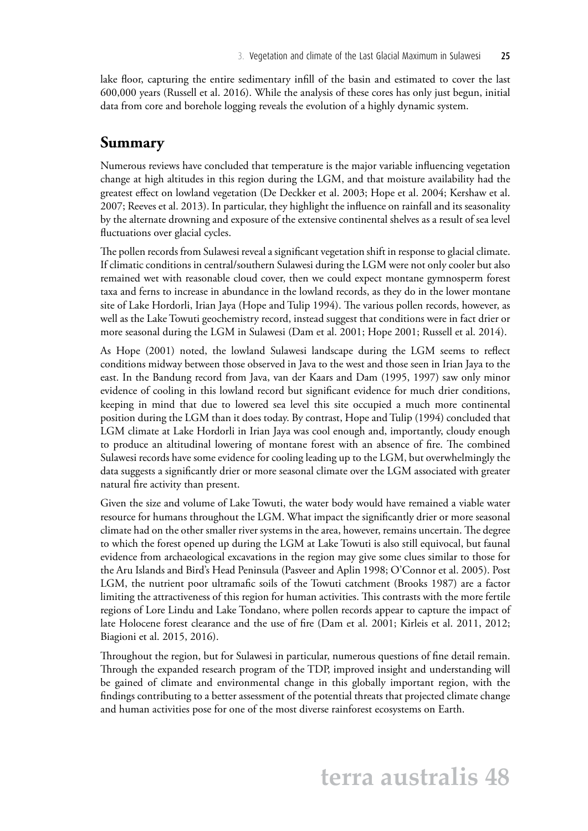lake floor, capturing the entire sedimentary infill of the basin and estimated to cover the last 600,000 years (Russell et al. 2016). While the analysis of these cores has only just begun, initial data from core and borehole logging reveals the evolution of a highly dynamic system.

#### **Summary**

Numerous reviews have concluded that temperature is the major variable influencing vegetation change at high altitudes in this region during the LGM, and that moisture availability had the greatest effect on lowland vegetation (De Deckker et al. 2003; Hope et al. 2004; Kershaw et al. 2007; Reeves et al. 2013). In particular, they highlight the influence on rainfall and its seasonality by the alternate drowning and exposure of the extensive continental shelves as a result of sea level fluctuations over glacial cycles.

The pollen records from Sulawesi reveal a significant vegetation shift in response to glacial climate. If climatic conditions in central/southern Sulawesi during the LGM were not only cooler but also remained wet with reasonable cloud cover, then we could expect montane gymnosperm forest taxa and ferns to increase in abundance in the lowland records, as they do in the lower montane site of Lake Hordorli, Irian Jaya (Hope and Tulip 1994). The various pollen records, however, as well as the Lake Towuti geochemistry record, instead suggest that conditions were in fact drier or more seasonal during the LGM in Sulawesi (Dam et al. 2001; Hope 2001; Russell et al. 2014).

As Hope (2001) noted, the lowland Sulawesi landscape during the LGM seems to reflect conditions midway between those observed in Java to the west and those seen in Irian Jaya to the east. In the Bandung record from Java, van der Kaars and Dam (1995, 1997) saw only minor evidence of cooling in this lowland record but significant evidence for much drier conditions, keeping in mind that due to lowered sea level this site occupied a much more continental position during the LGM than it does today. By contrast, Hope and Tulip (1994) concluded that LGM climate at Lake Hordorli in Irian Jaya was cool enough and, importantly, cloudy enough to produce an altitudinal lowering of montane forest with an absence of fire. The combined Sulawesi records have some evidence for cooling leading up to the LGM, but overwhelmingly the data suggests a significantly drier or more seasonal climate over the LGM associated with greater natural fire activity than present.

Given the size and volume of Lake Towuti, the water body would have remained a viable water resource for humans throughout the LGM. What impact the significantly drier or more seasonal climate had on the other smaller river systems in the area, however, remains uncertain. The degree to which the forest opened up during the LGM at Lake Towuti is also still equivocal, but faunal evidence from archaeological excavations in the region may give some clues similar to those for the Aru Islands and Bird's Head Peninsula (Pasveer and Aplin 1998; O'Connor et al. 2005). Post LGM, the nutrient poor ultramafic soils of the Towuti catchment (Brooks 1987) are a factor limiting the attractiveness of this region for human activities. This contrasts with the more fertile regions of Lore Lindu and Lake Tondano, where pollen records appear to capture the impact of late Holocene forest clearance and the use of fire (Dam et al. 2001; Kirleis et al. 2011, 2012; Biagioni et al. 2015, 2016).

Throughout the region, but for Sulawesi in particular, numerous questions of fine detail remain. Through the expanded research program of the TDP, improved insight and understanding will be gained of climate and environmental change in this globally important region, with the findings contributing to a better assessment of the potential threats that projected climate change and human activities pose for one of the most diverse rainforest ecosystems on Earth.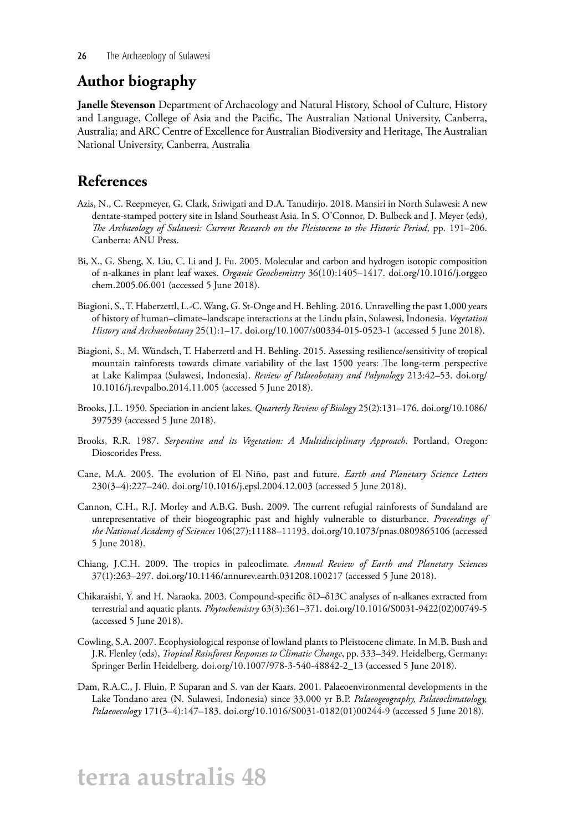### **Author biography**

**Janelle Stevenson** Department of Archaeology and Natural History, School of Culture, History and Language, College of Asia and the Pacific, The Australian National University, Canberra, Australia; and ARC Centre of Excellence for Australian Biodiversity and Heritage, The Australian National University, Canberra, Australia

### **References**

- Azis, N., C. Reepmeyer, G. Clark, Sriwigati and D.A. Tanudirjo. 2018. Mansiri in North Sulawesi: A new dentate-stamped pottery site in Island Southeast Asia. In S. O'Connor, D. Bulbeck and J. Meyer (eds), *The Archaeology of Sulawesi: Current Research on the Pleistocene to the Historic Period*, pp. 191–206. Canberra: ANU Press.
- Bi, X., G. Sheng, X. Liu, C. Li and J. Fu. 2005. Molecular and carbon and hydrogen isotopic composition of n-alkanes in plant leaf waxes. *Organic Geochemistry* 36(10):1405–1417. [doi.org/10.1016/j.orggeo](http://doi.org/10.1016/j.orggeochem.2005.06.001) [chem.2005.06.001](http://doi.org/10.1016/j.orggeochem.2005.06.001) (accessed 5 June 2018).
- Biagioni, S., T. Haberzettl, L.-C. Wang, G. St-Onge and H. Behling. 2016. Unravelling the past 1,000 years of history of human–climate–landscape interactions at the Lindu plain, Sulawesi, Indonesia. *Vegetation History and Archaeobotany* 25(1):1–17. [doi.org/10.1007/s00334-015-0523-1](http://doi.org/10.1007/s00334-015-0523-1) (accessed 5 June 2018).
- Biagioni, S., M. Wündsch, T. Haberzettl and H. Behling. 2015. Assessing resilience/sensitivity of tropical mountain rainforests towards climate variability of the last 1500 years: The long-term perspective at Lake Kalimpaa (Sulawesi, Indonesia). *Review of Palaeobotany and Palynology* 213:42–53. [doi.org/](http://doi.org/10.1016/j.revpalbo.2014.11.005) [10.1016/j.revpalbo.2014.11.005](http://doi.org/10.1016/j.revpalbo.2014.11.005) (accessed 5 June 2018).
- Brooks, J.L. 1950. Speciation in ancient lakes. *Quarterly Review of Biology* 25(2):131–176. [doi.org/10.1086/](http://doi.org/10.1086/397539) [397539](http://doi.org/10.1086/397539) (accessed 5 June 2018).
- Brooks, R.R. 1987. *Serpentine and its Vegetation: A Multidisciplinary Approach*. Portland, Oregon: Dioscorides Press.
- Cane, M.A. 2005. The evolution of El Niño, past and future. *Earth and Planetary Science Letters* 230(3–4):227–240. [doi.org/10.1016/j.epsl.2004.12.003](http://doi.org/10.1016/j.epsl.2004.12.003) (accessed 5 June 2018).
- Cannon, C.H., R.J. Morley and A.B.G. Bush. 2009. The current refugial rainforests of Sundaland are unrepresentative of their biogeographic past and highly vulnerable to disturbance. *Proceedings of the National Academy of Sciences* 106(27):11188–11193. [doi.org/10.1073/pnas.0809865106](http://doi.org/10.1073/pnas.0809865106) (accessed 5 June 2018).
- Chiang, J.C.H. 2009. The tropics in paleoclimate. *Annual Review of Earth and Planetary Sciences* 37(1):263–297. [doi.org/10.1146/annurev.earth.031208.100217](http://doi.org/10.1146/annurev.earth.031208.100217) (accessed 5 June 2018).
- Chikaraishi, Y. and H. Naraoka. 2003. Compound-specific δD–δ13C analyses of n-alkanes extracted from terrestrial and aquatic plants. *Phytochemistry* 63(3):361–371. [doi.org/10.1016/S0031-9422\(02\)00749-5](http://doi.org/10.1016/S0031-9422(02)00749-5)  (accessed 5 June 2018).
- Cowling, S.A. 2007. Ecophysiological response of lowland plants to Pleistocene climate. In M.B. Bush and J.R. Flenley (eds), *Tropical Rainforest Responses to Climatic Change*, pp. 333–349. Heidelberg, Germany: Springer Berlin Heidelberg. [doi.org/10.1007/978-3-540-48842-2\\_13](http://doi.org/10.1007/978-3-540-48842-2_13) (accessed 5 June 2018).
- Dam, R.A.C., J. Fluin, P. Suparan and S. van der Kaars. 2001. Palaeoenvironmental developments in the Lake Tondano area (N. Sulawesi, Indonesia) since 33,000 yr B.P. *Palaeogeography, Palaeoclimatology, Palaeoecology* 171(3–4):147–183. [doi.org/10.1016/S0031-0182\(01\)00244-9](http://doi.org/10.1016/S0031-0182(01)00244-9) (accessed 5 June 2018).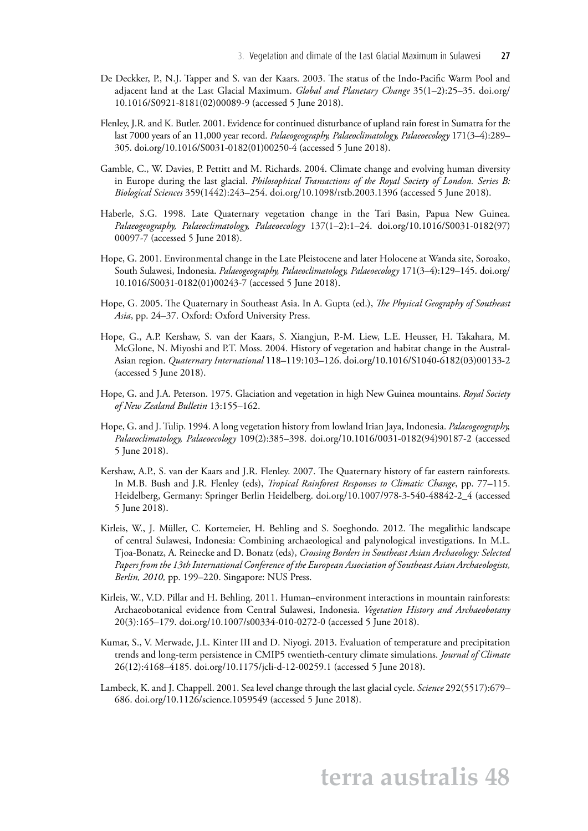- De Deckker, P., N.J. Tapper and S. van der Kaars. 2003. The status of the Indo-Pacific Warm Pool and adjacent land at the Last Glacial Maximum. *Global and Planetary Change* 35(1–2):25–35. [doi.org/](http://doi.org/10.1016/S0921-8181(02)00089-9) [10.1016/S0921-8181\(02\)00089-9](http://doi.org/10.1016/S0921-8181(02)00089-9) (accessed 5 June 2018).
- Flenley, J.R. and K. Butler. 2001. Evidence for continued disturbance of upland rain forest in Sumatra for the last 7000 years of an 11,000 year record. *Palaeogeography, Palaeoclimatology, Palaeoecology* 171(3–4):289– 305. [doi.org/10.1016/S0031-0182\(01\)00250-4](http://doi.org/10.1016/S0031-0182(01)00250-4) (accessed 5 June 2018).
- Gamble, C., W. Davies, P. Pettitt and M. Richards. 2004. Climate change and evolving human diversity in Europe during the last glacial. *Philosophical Transactions of the Royal Society of London. Series B: Biological Sciences* 359(1442):243–254. [doi.org/10.1098/rstb.2003.1396](http://doi.org/10.1098/rstb.2003.1396) (accessed 5 June 2018).
- Haberle, S.G. 1998. Late Quaternary vegetation change in the Tari Basin, Papua New Guinea. *Palaeogeography, Palaeoclimatology, Palaeoecology* 137(1–2):1–24. [doi.org/10.1016/S0031-0182\(97\)](http://doi.org/10.1016/S0031-0182(97)00097-7) [00097-7](http://doi.org/10.1016/S0031-0182(97)00097-7) (accessed 5 June 2018).
- Hope, G. 2001. Environmental change in the Late Pleistocene and later Holocene at Wanda site, Soroako, South Sulawesi, Indonesia. *Palaeogeography, Palaeoclimatology, Palaeoecology* 171(3–4):129–145. [doi.org/](http://doi.org/10.1016/S0031-0182(01)00243-7) [10.1016/S0031-0182\(01\)00243-7](http://doi.org/10.1016/S0031-0182(01)00243-7) (accessed 5 June 2018).
- Hope, G. 2005. The Quaternary in Southeast Asia. In A. Gupta (ed.), *The Physical Geography of Southeast Asia*, pp. 24–37. Oxford: Oxford University Press.
- Hope, G., A.P. Kershaw, S. van der Kaars, S. Xiangjun, P.-M. Liew, L.E. Heusser, H. Takahara, M. McGlone, N. Miyoshi and P.T. Moss. 2004. History of vegetation and habitat change in the Austral-Asian region. *Quaternary International* 118–119:103–126. [doi.org/10.1016/S1040-6182\(03\)00133-2](http://doi.org/10.1016/S1040-6182(03)00133-2)  (accessed 5 June 2018).
- Hope, G. and J.A. Peterson. 1975. Glaciation and vegetation in high New Guinea mountains. *Royal Society of New Zealand Bulletin* 13:155–162.
- Hope, G. and J. Tulip. 1994. A long vegetation history from lowland Irian Jaya, Indonesia. *Palaeogeography, Palaeoclimatology, Palaeoecology* 109(2):385–398. [doi.org/10.1016/0031-0182\(94\)90187-2](http://doi.org/10.1016/0031-0182(94)90187-2) (accessed 5 June 2018).
- Kershaw, A.P., S. van der Kaars and J.R. Flenley. 2007. The Quaternary history of far eastern rainforests. In M.B. Bush and J.R. Flenley (eds), *Tropical Rainforest Responses to Climatic Change*, pp. 77–115. Heidelberg, Germany: Springer Berlin Heidelberg. [doi.org/10.1007/978-3-540-48842-2\\_4](http://doi.org/10.1007/978-3-540-48842-2_4) (accessed 5 June 2018).
- Kirleis, W., J. Müller, C. Kortemeier, H. Behling and S. Soeghondo. 2012. The megalithic landscape of central Sulawesi, Indonesia: Combining archaeological and palynological investigations. In M.L. Tjoa-Bonatz, A. Reinecke and D. Bonatz (eds), *Crossing Borders in Southeast Asian Archaeology: Selected Papers from the 13th International Conference of the European Association of Southeast Asian Archaeologists, Berlin, 2010,* pp. 199–220. Singapore: NUS Press.
- Kirleis, W., V.D. Pillar and H. Behling. 2011. Human–environment interactions in mountain rainforests: Archaeobotanical evidence from Central Sulawesi, Indonesia. *Vegetation History and Archaeobotany* 20(3):165–179. [doi.org/10.1007/s00334-010-0272-0](http://doi.org/10.1007/s00334-010-0272-0) (accessed 5 June 2018).
- Kumar, S., V. Merwade, J.L. Kinter III and D. Niyogi. 2013. Evaluation of temperature and precipitation trends and long-term persistence in CMIP5 twentieth-century climate simulations. *Journal of Climate* 26(12):4168–4185. [doi.org/10.1175/jcli-d-12-00259.1](http://doi.org/10.1175/jcli-d-12-00259.1) (accessed 5 June 2018).
- Lambeck, K. and J. Chappell. 2001. Sea level change through the last glacial cycle. *Science* 292(5517):679– 686. [doi.org/10.1126/science.1059549](http://doi.org/10.1126/science.1059549) (accessed 5 June 2018).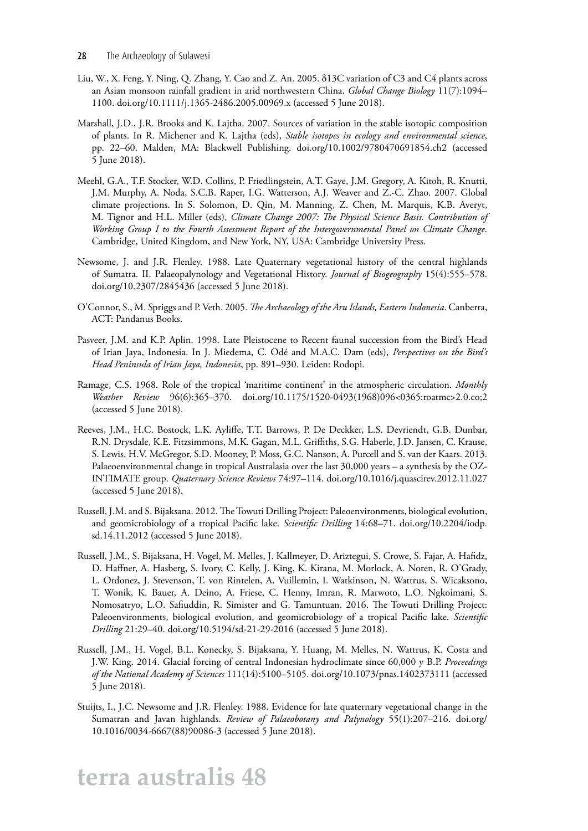- Liu, W., X. Feng, Y. Ning, Q. Zhang, Y. Cao and Z. An. 2005. δ13C variation of C3 and C4 plants across an Asian monsoon rainfall gradient in arid northwestern China. *Global Change Biology* 11(7):1094– 1100. [doi.org/10.1111/j.1365-2486.2005.00969.x](http://doi.org/10.1111/j.1365-2486.2005.00969.x) (accessed 5 June 2018).
- Marshall, J.D., J.R. Brooks and K. Lajtha. 2007. Sources of variation in the stable isotopic composition of plants. In R. Michener and K. Lajtha (eds), *Stable isotopes in ecology and environmental science*, pp. 22–60. Malden, MA: Blackwell Publishing. [doi.org/10.1002/9780470691854.ch2](http://doi.org/10.1002/9780470691854.ch2) (accessed 5 June 2018).
- Meehl, G.A., T.F. Stocker, W.D. Collins, P. Friedlingstein, A.T. Gaye, J.M. Gregory, A. Kitoh, R. Knutti, J.M. Murphy, A. Noda, S.C.B. Raper, I.G. Watterson, A.J. Weaver and Z.-C. Zhao. 2007. Global climate projections. In S. Solomon, D. Qin, M. Manning, Z. Chen, M. Marquis, K.B. Averyt, M. Tignor and H.L. Miller (eds), *Climate Change 2007: The Physical Science Basis. Contribution of Working Group I to the Fourth Assessment Report of the Intergovernmental Panel on Climate Change*. Cambridge, United Kingdom, and New York, NY, USA: Cambridge University Press.
- Newsome, J. and J.R. Flenley. 1988. Late Quaternary vegetational history of the central highlands of Sumatra. II. Palaeopalynology and Vegetational History. *Journal of Biogeography* 15(4):555–578. [doi.org/10.2307/2845436](http://doi.org/10.2307/2845436) (accessed 5 June 2018).
- O'Connor, S., M. Spriggs and P. Veth. 2005. *The Archaeology of the Aru Islands, Eastern Indonesia*. Canberra, ACT: Pandanus Books.
- Pasveer, J.M. and K.P. Aplin. 1998. Late Pleistocene to Recent faunal succession from the Bird's Head of Irian Jaya, Indonesia. In J. Miedema, C. Odé and M.A.C. Dam (eds), *Perspectives on the Bird's Head Peninsula of Irian Jaya, Indonesia*, pp. 891–930. Leiden: Rodopi.
- Ramage, C.S. 1968. Role of the tropical 'maritime continent' in the atmospheric circulation. *Monthly Weather Review* 96(6):365–370. [doi.org/10.1175/1520-0493\(1968\)096<0365:roatmc>2.0.co;2](http://doi.org/10.1175/1520-0493(1968)096<0365:roatmc>2.0.co;2)  (accessed 5 June 2018).
- Reeves, J.M., H.C. Bostock, L.K. Ayliffe, T.T. Barrows, P. De Deckker, L.S. Devriendt, G.B. Dunbar, R.N. Drysdale, K.E. Fitzsimmons, M.K. Gagan, M.L. Griffiths, S.G. Haberle, J.D. Jansen, C. Krause, S. Lewis, H.V. McGregor, S.D. Mooney, P. Moss, G.C. Nanson, A. Purcell and S. van der Kaars. 2013. Palaeoenvironmental change in tropical Australasia over the last 30,000 years – a synthesis by the OZ-INTIMATE group. *Quaternary Science Reviews* 74:97–114. [doi.org/10.1016/j.quascirev.2012.11.027](http://doi.org/10.1016/j.quascirev.2012.11.027)  (accessed 5 June 2018).
- Russell, J.M. and S. Bijaksana. 2012. The Towuti Drilling Project: Paleoenvironments, biological evolution, and geomicrobiology of a tropical Pacific lake. *Scientific Drilling* 14:68–71. [doi.org/10.2204/iodp.](http://doi.org/10.2204/iodp.sd.14.11.2012) [sd.14.11.2012](http://doi.org/10.2204/iodp.sd.14.11.2012) (accessed 5 June 2018).
- Russell, J.M., S. Bijaksana, H. Vogel, M. Melles, J. Kallmeyer, D. Ariztegui, S. Crowe, S. Fajar, A. Hafidz, D. Haffner, A. Hasberg, S. Ivory, C. Kelly, J. King, K. Kirana, M. Morlock, A. Noren, R. O'Grady, L. Ordonez, J. Stevenson, T. von Rintelen, A. Vuillemin, I. Watkinson, N. Wattrus, S. Wicaksono, T. Wonik, K. Bauer, A. Deino, A. Friese, C. Henny, Imran, R. Marwoto, L.O. Ngkoimani, S. Nomosatryo, L.O. Safiuddin, R. Simister and G. Tamuntuan. 2016. The Towuti Drilling Project: Paleoenvironments, biological evolution, and geomicrobiology of a tropical Pacific lake. *Scientific Drilling* 21:29–40. [doi.org/10.5194/sd-21-29-2016](http://doi.org/10.5194/sd-21-29-2016) (accessed 5 June 2018).
- Russell, J.M., H. Vogel, B.L. Konecky, S. Bijaksana, Y. Huang, M. Melles, N. Wattrus, K. Costa and J.W. King. 2014. Glacial forcing of central Indonesian hydroclimate since 60,000 y B.P. *Proceedings of the National Academy of Sciences* 111(14):5100–5105. [doi.org/10.1073/pnas.1402373111](http://doi.org/10.1073/pnas.1402373111) (accessed 5 June 2018).
- Stuijts, I., J.C. Newsome and J.R. Flenley. 1988. Evidence for late quaternary vegetational change in the Sumatran and Javan highlands. *Review of Palaeobotany and Palynology* 55(1):207–216. [doi.org/](http://doi.org/10.1016/0034-6667(88)90086-3) [10.1016/0034-6667\(88\)90086-3](http://doi.org/10.1016/0034-6667(88)90086-3) (accessed 5 June 2018).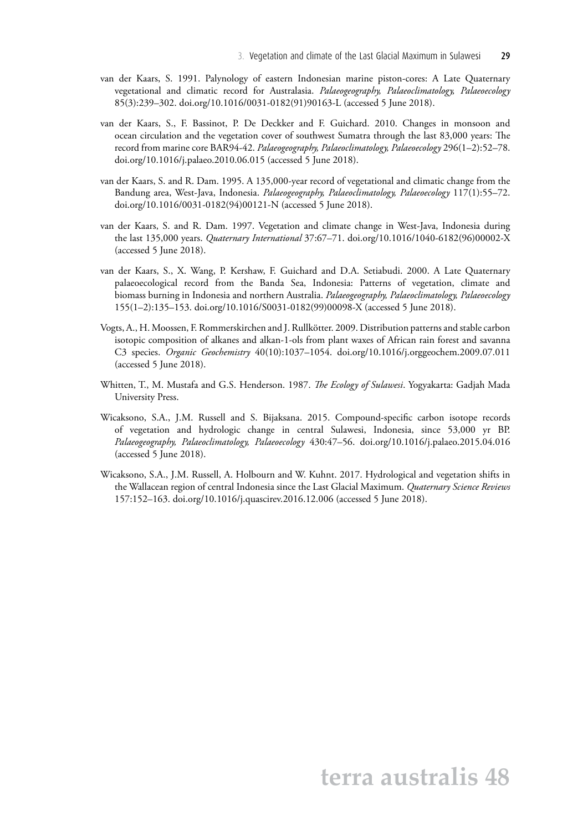- van der Kaars, S. 1991. Palynology of eastern Indonesian marine piston-cores: A Late Quaternary vegetational and climatic record for Australasia. *Palaeogeography, Palaeoclimatology, Palaeoecology* 85(3):239–302. [doi.org/10.1016/0031-0182\(91\)90163-L](http://doi.org/10.1016/0031-0182(91)90163-L) (accessed 5 June 2018).
- van der Kaars, S., F. Bassinot, P. De Deckker and F. Guichard. 2010. Changes in monsoon and ocean circulation and the vegetation cover of southwest Sumatra through the last 83,000 years: The record from marine core BAR94-42. *Palaeogeography, Palaeoclimatology, Palaeoecology* 296(1–2):52–78. [doi.org/10.1016/j.palaeo.2010.06.015](http://doi.org/10.1016/j.palaeo.2010.06.015) (accessed 5 June 2018).
- van der Kaars, S. and R. Dam. 1995. A 135,000-year record of vegetational and climatic change from the Bandung area, West-Java, Indonesia. *Palaeogeography, Palaeoclimatology, Palaeoecology* 117(1):55–72. [doi.org/10.1016/0031-0182\(94\)00121-N](http://doi.org/10.1016/0031-0182(94)00121-N) (accessed 5 June 2018).
- van der Kaars, S. and R. Dam. 1997. Vegetation and climate change in West-Java, Indonesia during the last 135,000 years. *Quaternary International* 37:67–71. [doi.org/10.1016/1040-6182\(96\)00002-X](http://doi.org/10.1016/1040-6182(96)00002-X)  (accessed 5 June 2018).
- van der Kaars, S., X. Wang, P. Kershaw, F. Guichard and D.A. Setiabudi. 2000. A Late Quaternary palaeoecological record from the Banda Sea, Indonesia: Patterns of vegetation, climate and biomass burning in Indonesia and northern Australia. *Palaeogeography, Palaeoclimatology, Palaeoecology* 155(1–2):135–153. [doi.org/10.1016/S0031-0182\(99\)00098-X](http://doi.org/10.1016/S0031-0182(99)00098-X) (accessed 5 June 2018).
- Vogts, A., H. Moossen, F. Rommerskirchen and J. Rullkötter. 2009. Distribution patterns and stable carbon isotopic composition of alkanes and alkan-1-ols from plant waxes of African rain forest and savanna C3 species. *Organic Geochemistry* 40(10):1037–1054. [doi.org/10.1016/j.orggeochem.2009.07.011](http://doi.org/10.1016/j.orggeochem.2009.07.011)  (accessed 5 June 2018).
- Whitten, T., M. Mustafa and G.S. Henderson. 1987. *The Ecology of Sulawesi*. Yogyakarta: Gadjah Mada University Press.
- Wicaksono, S.A., J.M. Russell and S. Bijaksana. 2015. Compound-specific carbon isotope records of vegetation and hydrologic change in central Sulawesi, Indonesia, since 53,000 yr BP. *Palaeogeography, Palaeoclimatology, Palaeoecology* 430:47–56. [doi.org/10.1016/j.palaeo.2015.04.016](http://doi.org/10.1016/j.palaeo.2015.04.016)  (accessed 5 June 2018).
- Wicaksono, S.A., J.M. Russell, A. Holbourn and W. Kuhnt. 2017. Hydrological and vegetation shifts in the Wallacean region of central Indonesia since the Last Glacial Maximum. *Quaternary Science Reviews* 157:152–163. [doi.org/10.1016/j.quascirev.2016.12.006](http://doi.org/10.1016/j.quascirev.2016.12.006) (accessed 5 June 2018).